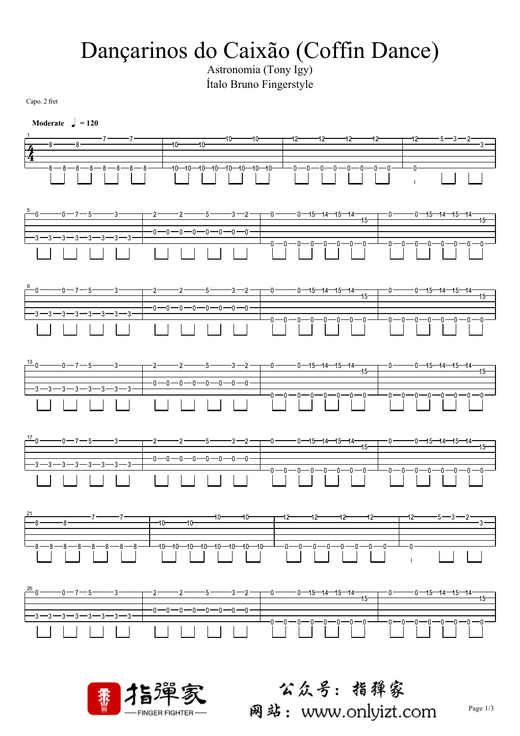## Dançarinos do Caixão (Coffin Dance)

Ítalo Bruno Fingerstyle

Capo. 2 fret

| Moderate $\int$ = 120                                                                                                                                                                                                                                   |                                                              |            |                        |                                            |                               |                 |
|---------------------------------------------------------------------------------------------------------------------------------------------------------------------------------------------------------------------------------------------------------|--------------------------------------------------------------|------------|------------------------|--------------------------------------------|-------------------------------|-----------------|
| $-8-$                                                                                                                                                                                                                                                   | $-8$ $7$ $7$ $10$ $10$ $10$                                  | $-10-$     | $-12$<br>-12-          | $-12$<br>$12 -$                            |                               | $\frac{2}{3}$ - |
| $\frac{3-8-8-8-8-8-8}{}$                                                                                                                                                                                                                                | $-10 - 10 - 10 - 10 - 10 - 10 - 10$                          |            |                        |                                            |                               |                 |
|                                                                                                                                                                                                                                                         |                                                              |            |                        |                                            |                               |                 |
|                                                                                                                                                                                                                                                         |                                                              |            | $-0$ -0 -0 -0 -0 -0 -0 |                                            | $\frac{-0-0-0-0-0-0}{\hline}$ |                 |
| $\frac{13}{1}-0$ $\frac{13}{15}-0$ $\frac{13}{15}-0$ $\frac{13}{15}-0$ $\frac{13}{15}-0$ $\frac{13}{15}-0$ $\frac{13}{15}-0$ $\frac{13}{15}-0$ $\frac{13}{15}-0$ $\frac{13}{15}-0$ $\frac{13}{15}-0$ $\frac{13}{15}-0$<br>$\frac{-3-3-3-3-3-3-3-3}{-1}$ |                                                              |            |                        |                                            |                               |                 |
| $\frac{17}{2}0$ --0-7-5 --3 --2 --2 --5 --3 -2                                                                                                                                                                                                          |                                                              |            |                        |                                            | -0-0-0-0-0-0-0-0-0-           |                 |
| 21<br>$-8-$<br>$\cdot$ 8 ·<br>$-8 - 8 - 8 - 8 - 8 - 8 - 8$                                                                                                                                                                                              | 10-<br>$10 -$<br>$-10-$<br>$-10$ -10 -10 -10 -10 -10 -10 -10 | -10<br>-12 | -12--                  | -12<br>$-12-$<br>$-0$ -0 -0 -0 -0 -0 -0 -0 | 12—<br>$-0-$                  |                 |
| $\frac{25}{1}0$<br>-3—3—3-                                                                                                                                                                                                                              | -0-0-0-0-0-0-0-0-                                            |            | $0 - 15 - 14 - 15$     | $15 -$                                     |                               | $15 -$          |
| 黍                                                                                                                                                                                                                                                       | <b>FINGER FIGHTER-</b>                                       |            |                        | 公众号:指獐家<br>网站:www.onlyizt.com              |                               | Page 1/3        |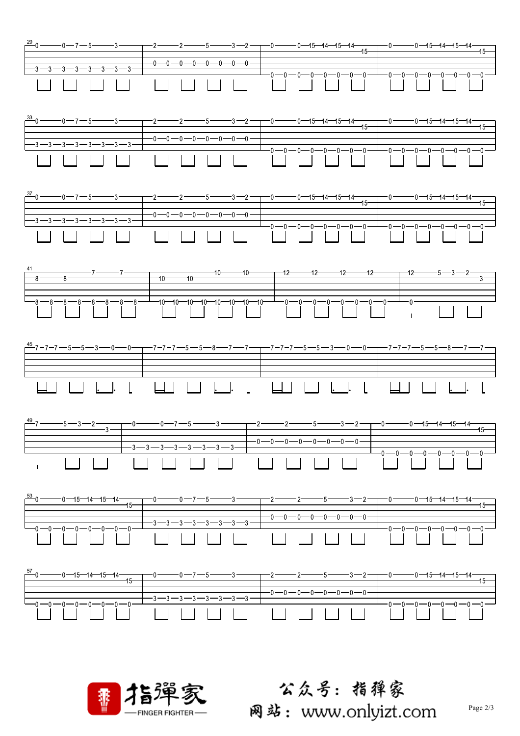



公众号:指弹家 网站: www.onlyizt.com

Page 2/3